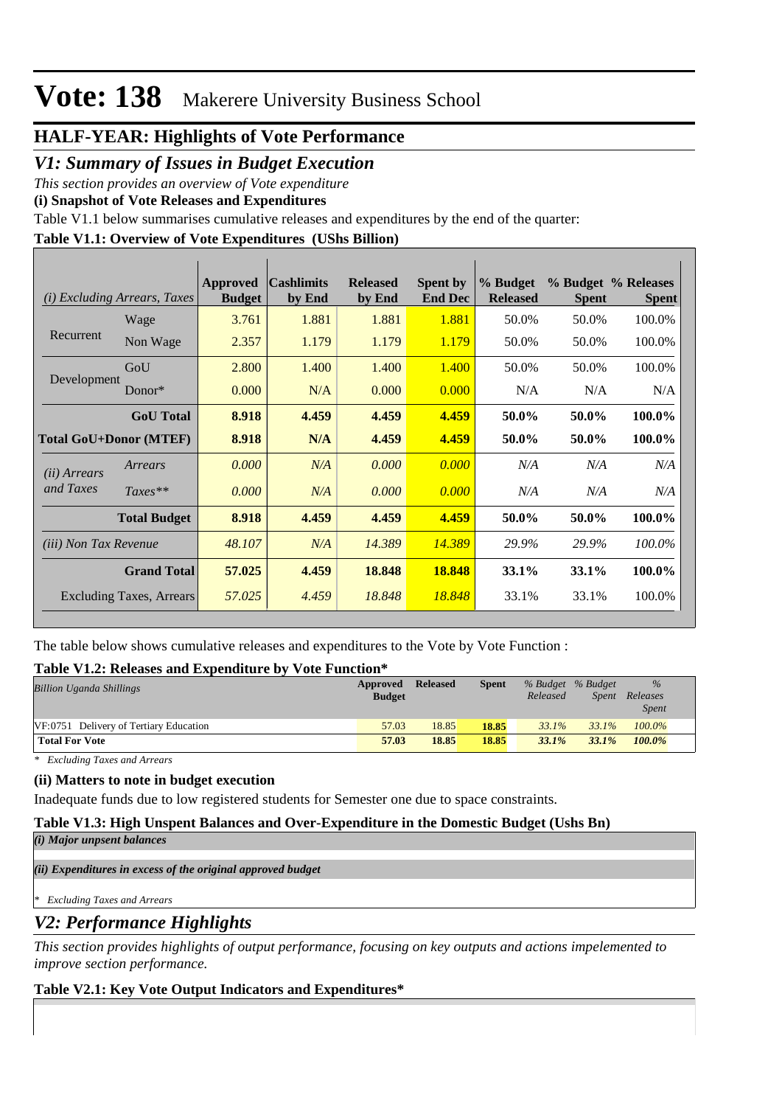# **Vote: 138** Makerere University Business School

# **HALF-YEAR: Highlights of Vote Performance**

*V1: Summary of Issues in Budget Execution*

*This section provides an overview of Vote expenditure* 

**(i) Snapshot of Vote Releases and Expenditures**

Table V1.1 below summarises cumulative releases and expenditures by the end of the quarter:

# **Table V1.1: Overview of Vote Expenditures (UShs Billion)**

|                               | (i) Excluding Arrears, Taxes | Approved<br><b>Budget</b> | <b>Cashlimits</b><br>by End | <b>Released</b><br>by End | <b>Spent by</b><br><b>End Dec</b> | % Budget<br><b>Released</b> | <b>Spent</b> | % Budget % Releases<br><b>Spent</b> |
|-------------------------------|------------------------------|---------------------------|-----------------------------|---------------------------|-----------------------------------|-----------------------------|--------------|-------------------------------------|
|                               | Wage                         | 3.761                     | 1.881                       | 1.881                     | 1.881                             | 50.0%                       | 50.0%        | 100.0%                              |
| Recurrent                     | Non Wage                     | 2.357                     | 1.179                       | 1.179                     | 1.179                             | 50.0%                       | 50.0%        | 100.0%                              |
|                               | GoU                          | 2.800                     | 1.400                       | 1.400                     | 1.400                             | 50.0%                       | 50.0%        | 100.0%                              |
| Development                   | Donor*                       | 0.000                     | N/A                         | 0.000                     | 0.000                             | N/A                         | N/A          | N/A                                 |
|                               | <b>GoU</b> Total             | 8.918                     | 4.459                       | 4.459                     | 4.459                             | 50.0%                       | 50.0%        | 100.0%                              |
| <b>Total GoU+Donor (MTEF)</b> |                              | 8.918                     | N/A                         | 4.459                     | 4.459                             | 50.0%                       | 50.0%        | 100.0%                              |
| ( <i>ii</i> ) Arrears         | Arrears                      | 0.000                     | N/A                         | 0.000                     | 0.000                             | N/A                         | N/A          | N/A                                 |
| and Taxes                     | $Taxes**$                    | 0.000                     | N/A                         | 0.000                     | 0.000                             | N/A                         | N/A          | N/A                                 |
|                               | <b>Total Budget</b>          | 8.918                     | 4.459                       | 4.459                     | 4.459                             | 50.0%                       | 50.0%        | 100.0%                              |
| <i>(iii)</i> Non Tax Revenue  |                              | 48.107                    | N/A                         | 14.389                    | 14.389                            | 29.9%                       | 29.9%        | 100.0%                              |
|                               | <b>Grand Total</b>           | 57.025                    | 4.459                       | 18.848                    | 18.848                            | 33.1%                       | 33.1%        | 100.0%                              |
|                               | Excluding Taxes, Arrears     | 57.025                    | 4.459                       | 18.848                    | 18.848                            | 33.1%                       | 33.1%        | 100.0%                              |

The table below shows cumulative releases and expenditures to the Vote by Vote Function :

## **Table V1.2: Releases and Expenditure by Vote Function\***

| <b>Billion Uganda Shillings</b>        | Approved<br><b>Budget</b> | <b>Released</b> | <b>Spent</b> | % Budget % Budget<br>Released | Spent    | $\frac{0}{0}$<br>Releases<br><i>Spent</i> |
|----------------------------------------|---------------------------|-----------------|--------------|-------------------------------|----------|-------------------------------------------|
| VF:0751 Delivery of Tertiary Education | 57.03                     | 18.85           | 18.85        | 33.1%                         | 33.1%    | $100.0\%$                                 |
| <b>Total For Vote</b>                  | 57.03                     | 18.85           | 18.85        | $33.1\%$                      | $33.1\%$ | $100.0\%$                                 |

*\* Excluding Taxes and Arrears*

## **(ii) Matters to note in budget execution**

Inadequate funds due to low registered students for Semester one due to space constraints.

## **Table V1.3: High Unspent Balances and Over-Expenditure in the Domestic Budget (Ushs Bn)**

*(i) Major unpsent balances*

*(ii) Expenditures in excess of the original approved budget*

*\* Excluding Taxes and Arrears*

# *V2: Performance Highlights*

*This section provides highlights of output performance, focusing on key outputs and actions impelemented to improve section performance.*

## **Table V2.1: Key Vote Output Indicators and Expenditures\***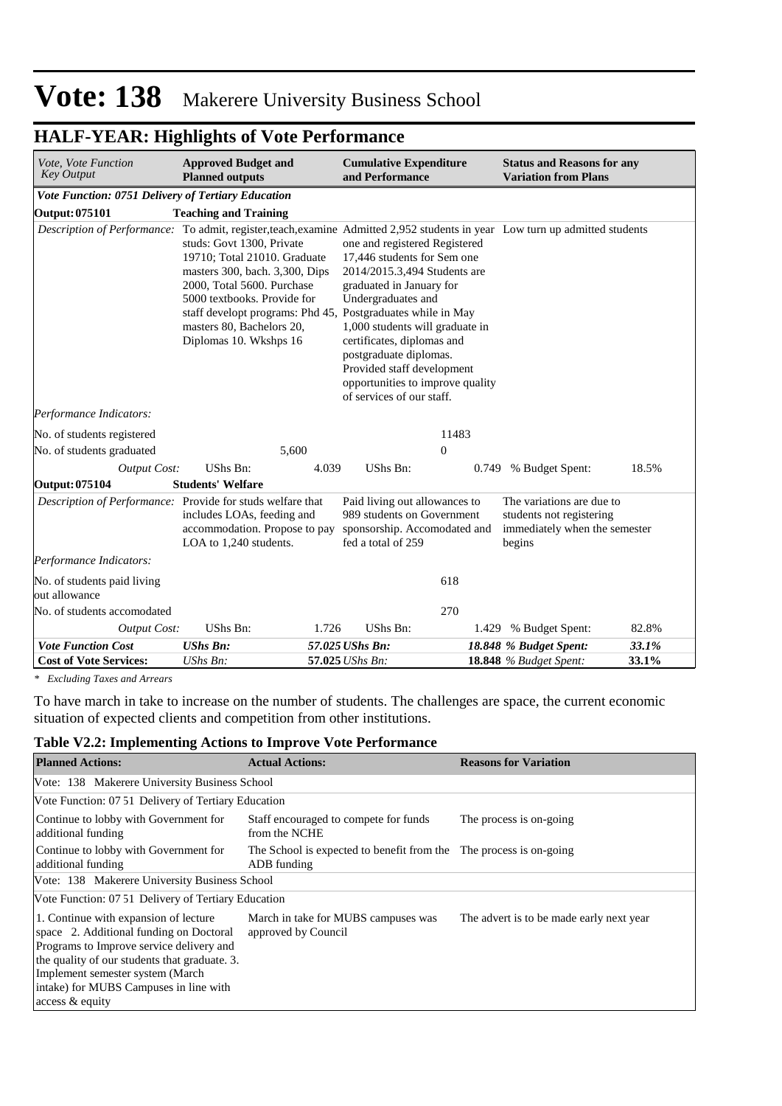# **Vote: 138** Makerere University Business School

| Vote, Vote Function<br><b>Key Output</b>                                                                                     | <b>Approved Budget and</b><br><b>Planned outputs</b>                                                                                                                                                                                                                           |       | <b>Cumulative Expenditure</b><br>and Performance                                                                                                                                                                                                                                                                                         |                |       | <b>Status and Reasons for any</b><br><b>Variation from Plans</b>                                 |       |
|------------------------------------------------------------------------------------------------------------------------------|--------------------------------------------------------------------------------------------------------------------------------------------------------------------------------------------------------------------------------------------------------------------------------|-------|------------------------------------------------------------------------------------------------------------------------------------------------------------------------------------------------------------------------------------------------------------------------------------------------------------------------------------------|----------------|-------|--------------------------------------------------------------------------------------------------|-------|
| Vote Function: 0751 Delivery of Tertiary Education                                                                           |                                                                                                                                                                                                                                                                                |       |                                                                                                                                                                                                                                                                                                                                          |                |       |                                                                                                  |       |
| <b>Output: 075101</b>                                                                                                        | <b>Teaching and Training</b>                                                                                                                                                                                                                                                   |       |                                                                                                                                                                                                                                                                                                                                          |                |       |                                                                                                  |       |
| Description of Performance: To admit, register, teach, examine Admitted 2,952 students in year Low turn up admitted students | studs: Govt 1300, Private<br>19710; Total 21010. Graduate<br>masters 300, bach. 3,300, Dips<br>2000, Total 5600. Purchase<br>5000 textbooks. Provide for<br>staff developt programs: Phd 45, Postgraduates while in May<br>masters 80, Bachelors 20,<br>Diplomas 10. Wkshps 16 |       | one and registered Registered<br>17,446 students for Sem one<br>2014/2015.3,494 Students are<br>graduated in January for<br>Undergraduates and<br>1,000 students will graduate in<br>certificates, diplomas and<br>postgraduate diplomas.<br>Provided staff development<br>opportunities to improve quality<br>of services of our staff. |                |       |                                                                                                  |       |
| Performance Indicators:                                                                                                      |                                                                                                                                                                                                                                                                                |       |                                                                                                                                                                                                                                                                                                                                          |                |       |                                                                                                  |       |
| No. of students registered                                                                                                   |                                                                                                                                                                                                                                                                                |       |                                                                                                                                                                                                                                                                                                                                          | 11483          |       |                                                                                                  |       |
| No. of students graduated                                                                                                    |                                                                                                                                                                                                                                                                                | 5,600 |                                                                                                                                                                                                                                                                                                                                          | $\overline{0}$ |       |                                                                                                  |       |
| <b>Output Cost:</b>                                                                                                          | UShs Bn:                                                                                                                                                                                                                                                                       | 4.039 | UShs Bn:                                                                                                                                                                                                                                                                                                                                 |                | 0.749 | % Budget Spent:                                                                                  | 18.5% |
| Output: 075104                                                                                                               | <b>Students' Welfare</b>                                                                                                                                                                                                                                                       |       |                                                                                                                                                                                                                                                                                                                                          |                |       |                                                                                                  |       |
| Description of Performance: Provide for studs welfare that                                                                   | includes LOAs, feeding and<br>accommodation. Propose to pay<br>LOA to 1,240 students.                                                                                                                                                                                          |       | Paid living out allowances to<br>989 students on Government<br>sponsorship. Accomodated and<br>fed a total of 259                                                                                                                                                                                                                        |                |       | The variations are due to<br>students not registering<br>immediately when the semester<br>begins |       |
| Performance Indicators:                                                                                                      |                                                                                                                                                                                                                                                                                |       |                                                                                                                                                                                                                                                                                                                                          |                |       |                                                                                                  |       |
| No. of students paid living<br>out allowance                                                                                 |                                                                                                                                                                                                                                                                                |       |                                                                                                                                                                                                                                                                                                                                          | 618            |       |                                                                                                  |       |
| No. of students accomodated                                                                                                  |                                                                                                                                                                                                                                                                                |       |                                                                                                                                                                                                                                                                                                                                          | 270            |       |                                                                                                  |       |
| Output Cost:                                                                                                                 | UShs Bn:                                                                                                                                                                                                                                                                       | 1.726 | UShs Bn:                                                                                                                                                                                                                                                                                                                                 |                | 1.429 | % Budget Spent:                                                                                  | 82.8% |
| <b>Vote Function Cost</b>                                                                                                    | <b>UShs Bn:</b>                                                                                                                                                                                                                                                                |       | 57.025 UShs Bn:                                                                                                                                                                                                                                                                                                                          |                |       | 18.848 % Budget Spent:                                                                           | 33.1% |
| <b>Cost of Vote Services:</b>                                                                                                | UShs Bn:                                                                                                                                                                                                                                                                       |       | 57.025 UShs Bn:                                                                                                                                                                                                                                                                                                                          |                |       | <b>18.848</b> % Budget Spent:                                                                    | 33.1% |

# **HALF-YEAR: Highlights of Vote Performance**

*\* Excluding Taxes and Arrears*

To have march in take to increase on the number of students. The challenges are space, the current economic situation of expected clients and competition from other institutions.

#### **Table V2.2: Implementing Actions to Improve Vote Performance**

| <b>Planned Actions:</b>                                                                                                                                                                                                                                                         | <b>Actual Actions:</b>                                                            | <b>Reasons for Variation</b>             |
|---------------------------------------------------------------------------------------------------------------------------------------------------------------------------------------------------------------------------------------------------------------------------------|-----------------------------------------------------------------------------------|------------------------------------------|
| Vote: 138 Makerere University Business School                                                                                                                                                                                                                                   |                                                                                   |                                          |
| Vote Function: 07.51 Delivery of Tertiary Education                                                                                                                                                                                                                             |                                                                                   |                                          |
| Continue to lobby with Government for<br>additional funding                                                                                                                                                                                                                     | Staff encouraged to compete for funds<br>from the NCHE                            | The process is on-going                  |
| Continue to lobby with Government for<br>additional funding                                                                                                                                                                                                                     | The School is expected to benefit from the The process is on-going<br>ADB funding |                                          |
| Vote: 138 Makerere University Business School                                                                                                                                                                                                                                   |                                                                                   |                                          |
| Vote Function: 07.51 Delivery of Tertiary Education                                                                                                                                                                                                                             |                                                                                   |                                          |
| 1. Continue with expansion of lecture<br>space 2. Additional funding on Doctoral<br>Programs to Improve service delivery and<br>the quality of our students that graduate. 3.<br>Implement semester system (March)<br>intake) for MUBS Campuses in line with<br>access & equity | March in take for MUBS campuses was<br>approved by Council                        | The advert is to be made early next year |